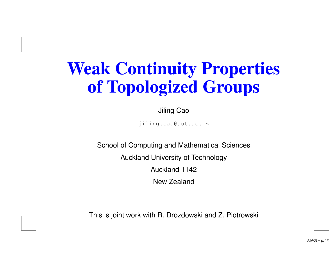# **Weak Continuity Properties of Topologized Groups**

Jiling Cao

jiling.cao@aut.ac.nz

School of Computing and Mathematical Sciences Auckland University of Technology Auckland 1142 New Zealand

This is joint work with R. Drozdowski and Z. Piotrowski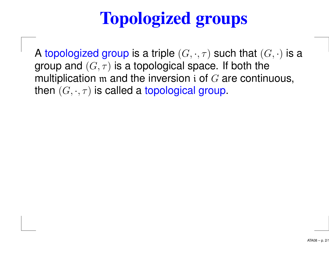# **Topologized groups**

A topologized group is a triple  $(G,\cdot,\tau)$  such that  $(G,\cdot)$  is a group and  $(G, \tau)$  is a topological space. If both the multiplication  $m$  and the inversion i of  $G$  are continuous, then  $(G, \cdot, \tau)$  is called a topological group.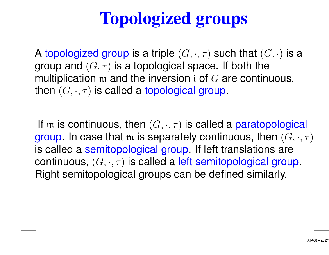# **Topologized groups**

A topologized group is a triple  $(G,\cdot,\tau)$  such that  $(G,\cdot)$  is a group and  $(G, \tau)$  is a topological space. If both the multiplication  $m$  and the inversion i of  $G$  are continuous, then  $(G, \cdot, \tau)$  is called a topological group.

If  ${\mathfrak m}$  is continuous, then  $(G, \cdot, \tau)$  is called a paratopological group. In case that m is separately continuous, then  $(G, \cdot, \tau)$ is called <sup>a</sup> semitopological group. If left translations are continuous,  $(G, \cdot, \tau)$  is called a left semitopological group. Right semitopological groups can be defined similarly.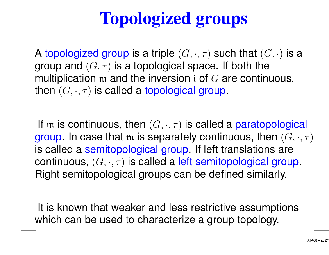# **Topologized groups**

A topologized group is a triple  $(G,\cdot,\tau)$  such that  $(G,\cdot)$  is a group and  $(G, \tau)$  is a topological space. If both the multiplication  $m$  and the inversion i of  $G$  are continuous, then  $(G, \cdot, \tau)$  is called a topological group.

If  ${\mathfrak m}$  is continuous, then  $(G, \cdot, \tau)$  is called a paratopological group. In case that m is separately continuous, then  $(G, \cdot, \tau)$ is called <sup>a</sup> semitopological group. If left translations are continuous,  $(G, \cdot, \tau)$  is called a left semitopological group. Right semitopological groups can be defined similarly.

It is known that weaker and less restrictive assumptions which can be used to characterize <sup>a</sup> group topology.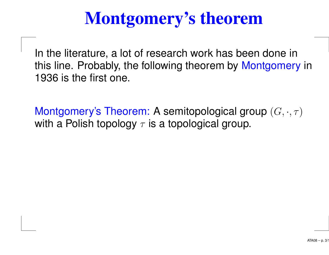# **Montgomery's theorem**

In the literature, <sup>a</sup> lot of research work has been done in this line. Probably, the following theorem by Montgomery in 1936 is the first one.

Montgomery's Theorem: A semitopological group  $(G, \cdot, \tau)$ with a Polish topology  $\tau$  is a topological group.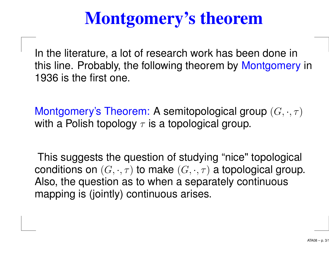# **Montgomery's theorem**

In the literature, <sup>a</sup> lot of research work has been done in this line. Probably, the following theorem by Montgomery in 1936 is the first one.

Montgomery's Theorem: A semitopological group  $(G, \cdot, \tau)$ with a Polish topology  $\tau$  is a topological group.

This suggests the question of studying "nice" topological conditions on  $(G, \cdot, \tau)$  to make  $(G, \cdot, \tau)$  a topological group. Also, the question as to when <sup>a</sup> separately continuous mapping is (jointly) continuous arises.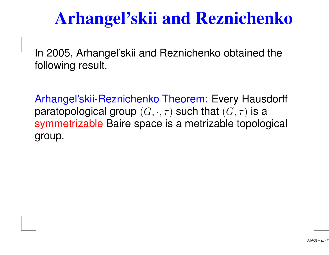## **Arhangel'skii and Reznichenko**

In 2005, Arhangel'skii and Reznichenko obtained the following result.

Arhangel'skii-Reznichenko Theorem: Every Hausdorff paratopological group  $(G, \cdot, \tau)$  such that  $(G, \tau)$  is a symmetrizable Baire space is <sup>a</sup> metrizable topological group.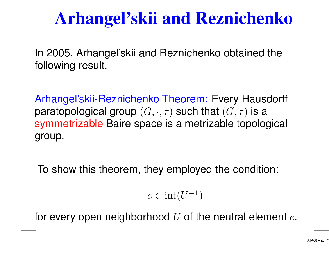# **Arhangel'skii and Reznichenko**

In 2005, Arhangel'skii and Reznichenko obtained the following result.

Arhangel'skii-Reznichenko Theorem: Every Hausdorff paratopological group  $(G, \cdot, \tau)$  such that  $(G, \tau)$  is a symmetrizable Baire space is <sup>a</sup> metrizable topological group.

To show this theorem, they employed the condition:

$$
e \in \overline{\text{int}(\overline{U^{-1}})}
$$

for every open neighborhood  $U$  of the neutral element  $e$ .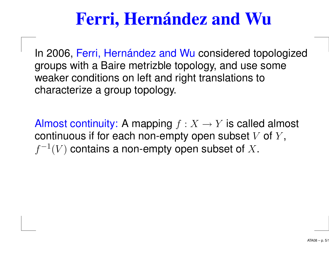# **Ferri, Hernández and Wu**

In 2006, Ferri, Hernández and Wu considered topologized groups with <sup>a</sup> Baire metrizble topology, and use some weaker conditions on left and right translations to characterize <sup>a</sup> group topology.

Almost continuity: A mapping  $f : X \to Y$  is called almost continuous if for each non-empty open subset  $V$  of  $Y$ ,  $f^{-1}(V)$  contains a non-empty open subset of X.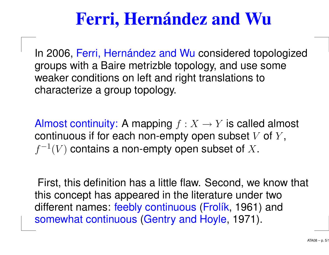# **Ferri, Hernández and Wu**

In 2006, Ferri, Hernández and Wu considered topologized groups with <sup>a</sup> Baire metrizble topology, and use some weaker conditions on left and right translations to characterize <sup>a</sup> group topology.

Almost continuity: A mapping  $f: X \to Y$  is called almost continuous if for each non-empty open subset  $V$  of  $Y$ ,  $f^{-1}(V)$  contains a non-empty open subset of X.

First, this definition has <sup>a</sup> little flaw. Second, we know that this concept has appeared in the literature under two different names: feebly continuous (Frolík, 1961) and somewhat continuous (Gentry and Hoyle, 1971).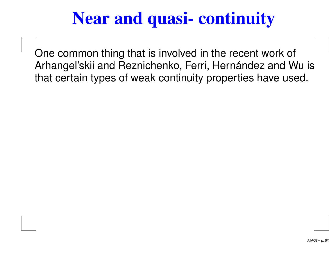# **Near and quasi- continuity**

One common thing that is involved in the recent work of Arhangel'skii and Reznichenko, Ferri, Hernández and Wu is that certain types of weak continuity properties have used.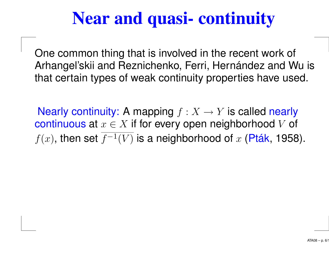## **Near and quasi- continuity**

One common thing that is involved in the recent work of Arhangel'skii and Reznichenko, Ferri, Hernández and Wu is that certain types of weak continuity properties have used.

Nearly continuity: A mapping  $f: X \to Y$  is called nearly continuous at  $x \in X$  if for every open neighborhood V of  $f(x)$ , then set  $\overline{f^{-1}(V)}$  is a neighborhood of x (Pták, 1958).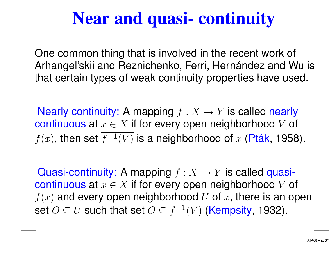# **Near and quasi- continuity**

One common thing that is involved in the recent work of Arhangel'skii and Reznichenko, Ferri, Hernández and Wu is that certain types of weak continuity properties have used.

Nearly continuity: A mapping  $f: X \to Y$  is called nearly continuous at  $x \in X$  if for every open neighborhood V of  $f(x)$ , then set  $\overline{f^{-1}(V)}$  is a neighborhood of x (Pták, 1958).

Quasi-continuity: A mapping  $f : X \to Y$  is called quasicontinuous at  $x \in X$  if for every open neighborhood V of  $f(x)$  and every open neighborhood U of x, there is an open set  $O\subseteq U$  such that set  $O\subseteq f^{-1}(V)$  (Kempsity, 1932).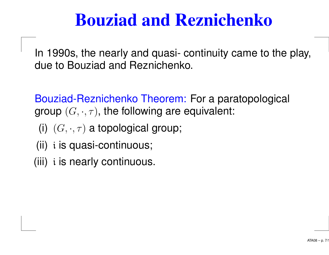### **Bouziad and Reznichenko**

In 1990s, the nearly and quasi- continuity came to the play, due to Bouziad and Reznichenko.

Bouziad-Reznichenko Theorem: For <sup>a</sup> paratopological group  $(G, \cdot, \tau)$ , the following are equivalent:

- (i)  $(G, \cdot, \tau)$  a topological group;
- (ii) i is quasi-continuous;
- (iii) i is nearly continuous.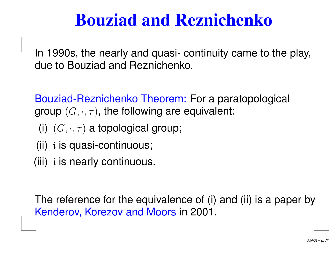### **Bouziad and Reznichenko**

In 1990s, the nearly and quasi- continuity came to the play, due to Bouziad and Reznichenko.

Bouziad-Reznichenko Theorem: For <sup>a</sup> paratopological group  $(G, \cdot, \tau)$ , the following are equivalent:

- (i)  $(G, \cdot, \tau)$  a topological group;
- (ii) i is quasi-continuous;
- (iii) i is nearly continuous.

The reference for the equivalence of (i) and (ii) is <sup>a</sup> paper by Kenderov, Korezov and Moors in 2001.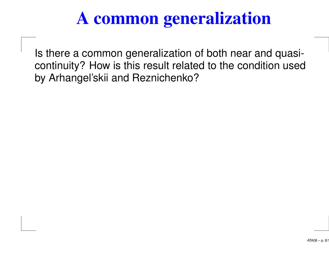# **A common generalization**

Is there <sup>a</sup> common generalization of both near and quasicontinuity? How is this result related to the condition used by Arhangel'skii and Reznichenko?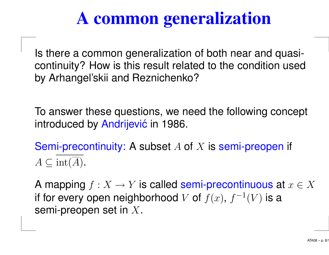# **A common generalization**

Is there <sup>a</sup> common generalization of both near and quasicontinuity? How is this result related to the condition used by Arhangel'skii and Reznichenko?

To answer these questions, we need the following concept introduced by Andrijević in 1986.

Semi-precontinuity: A subset A of X is semi-preopen if  $A \subseteq \text{int}(A)$ .

A mapping  $f: X \to Y$  is called semi-precontinuous at  $x \in X$ if for every open neighborhood  $V$  of  $f(x),\,f^{-1}(V)$  is a semi-preopen set in <sup>X</sup>.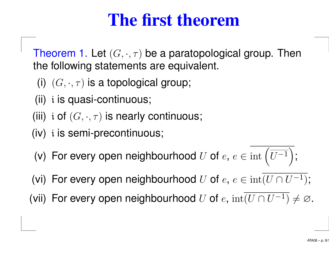### **The first theorem**

Theorem 1. Let  $(G,\cdot,\tau)$  be a paratopological group. Then the following statements are equivalent.

- (i)  $(G, \cdot, \tau)$  is a topological group;
- (ii) i is quasi-continuous;
- (iii) i of  $(G, \cdot, \tau)$  is nearly continuous;
- (iv) i is semi-precontinuous;
- (v) For every open neighbourhood U of  $e, e \in \text{int}(\overline{U^{-1}})$ ;
- (vi) For every open neighbourhood U of  $e, e \in \text{int}(U \cap U^{-1});$
- (vii) For every open neighbourhood U of  $e$ ,  $int(U \cap U^{-1}) \neq \emptyset$ .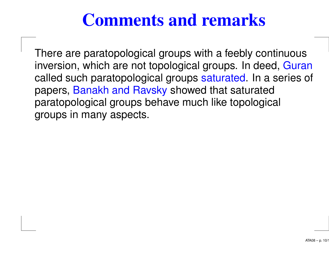#### **Comments and remarks**

There are paratopological groups with <sup>a</sup> feebly continuous inversion, which are not topological groups. In deed, Guran called such paratopological groups saturated. In <sup>a</sup> series of papers, Banakh and Ravsky showed that saturated paratopological groups behave much like topological groups in many aspects.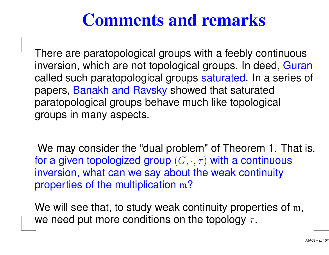#### **Comments and remarks**

There are paratopological groups with <sup>a</sup> feebly continuous inversion, which are not topological groups. In deed, Guran called such paratopological groups saturated. In <sup>a</sup> series of papers, Banakh and Ravsky showed that saturated paratopological groups behave much like topological groups in many aspects.

We may consider the "dual problem" of Theorem 1. That is, for a given topologized group  $(G, \cdot, \tau)$  with a continuous inversion, what can we say about the weak continuity properties of the multiplication <sup>m</sup>?

We will see that, to study weak continuity properties of m, we need put more conditions on the topology  $\tau$ .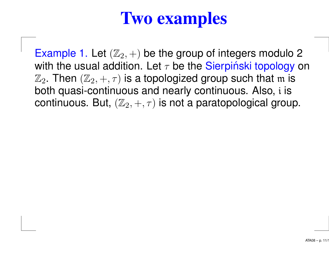### **Two examples**

Example 1. Let  $(\mathbb{Z}_2, +)$  be the group of integers modulo 2 with the usual addition. Let  $\tau$  be the Sierpinski topology on  $\mathbb{Z}_2$ . Then  $(\mathbb{Z}_2, +, \tau)$  is a topologized group such that m is both quasi-continuous and nearly continuous. Also, i is continuous. But,  $(\mathbb{Z}_2, +, \tau)$  is not a paratopological group.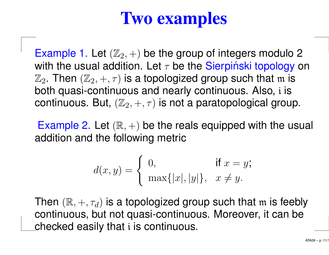### **Two examples**

Example 1. Let  $(\mathbb{Z}_2, +)$  be the group of integers modulo 2 with the usual addition. Let  $\tau$  be the Sierpinski topology on  $\mathbb{Z}_2$ . Then  $(\mathbb{Z}_2, +, \tau)$  is a topologized group such that m is both quasi-continuous and nearly continuous. Also, i is continuous. But,  $(\mathbb{Z}_2, +, \tau)$  is not a paratopological group.

Example 2. Let  $(\mathbb{R}, +)$  be the reals equipped with the usual addition and the following metric

$$
d(x,y) = \begin{cases} 0, & \text{if } x = y; \\ \max\{|x|, |y|\}, & x \neq y. \end{cases}
$$

Then  $(\mathbb{R}, +, \tau_d)$  is a topologized group such that m is feebly continuous, but not quasi-continuous. Moreover, it can be checked easily that i is continuous.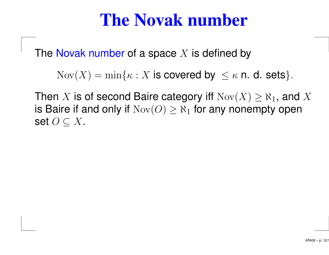#### **The Novak number**

The Novak number of a space  $X$  is defined by

 $\text{Nov}(X) = \min\{\kappa : X \text{ is covered by } \leq \kappa \text{ n. d. sets}\}.$ 

Then  $X$  is of second Baire category iff  $\mathrm{Nov}(X) \geq \aleph_1,$  and  $X$ is Baire if and only if  $\text{Nov}(O) \geq \aleph_1$  for any nonempty open set  $O\subseteq X$ .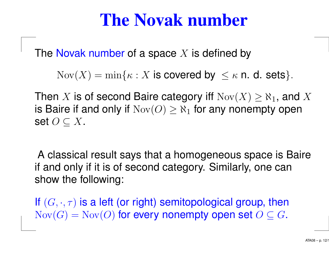#### **The Novak number**

The Novak number of a space  $X$  is defined by

 $\text{Nov}(X) = \min\{\kappa : X \text{ is covered by } \leq \kappa \text{ n. d. sets}\}.$ 

Then  $X$  is of second Baire category iff  $\mathrm{Nov}(X) \geq \aleph_1,$  and  $X$ is Baire if and only if  $\text{Nov}(O) \geq \aleph_1$  for any nonempty open set  $O\subseteq X$ .

A classical result says that <sup>a</sup> homogeneous space is Baire if and only if it is of second category. Similarly, one can show the following:

If  $(G,\cdot,\tau)$  is a left (or right) semitopological group, then  $\text{Nov}(G) = \text{Nov}(O)$  for every nonempty open set  $O \subseteq G$ .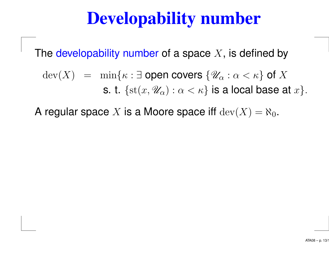## **Developability number**

The developability number of a space  $X$ , is defined by

 $dev(X) = min\{\kappa : \exists$  open covers  $\{\mathscr{U}_{\alpha} : \alpha < \kappa\}$  of X s. t.  $\{st(x, \mathscr{U}_{\alpha}) : \alpha < \kappa\}$  is a local base at  $x\}$ .

A regular space  $X$  is a Moore space iff  $\mathrm{dev}(X) = \aleph_0.$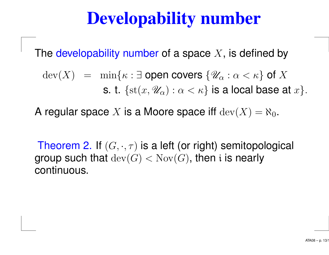# **Developability number**

The developability number of a space  $X$ , is defined by

 $dev(X) = min\{\kappa : \exists$  open covers  $\{\mathscr{U}_{\alpha} : \alpha < \kappa\}$  of X s. t.  $\{st(x, \mathscr{U}_{\alpha}) : \alpha < \kappa\}$  is a local base at  $x\}$ .

A regular space  $X$  is a Moore space iff  $\mathrm{dev}(X) = \aleph_0.$ 

Theorem 2. If  $(G,\cdot,\tau)$  is a left (or right) semitopological group such that  $\text{dev}(G) < \text{Nov}(G)$ , then i is nearly continuous.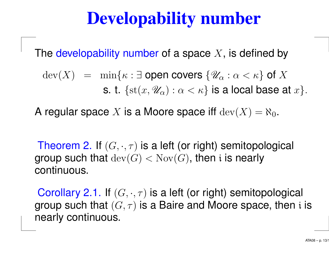# **Developability number**

The developability number of a space  $X$ , is defined by

 $dev(X) = min\{\kappa : \exists$  open covers  $\{\mathscr{U}_{\alpha} : \alpha < \kappa\}$  of X s. t.  $\{st(x, \mathscr{U}_{\alpha}) : \alpha < \kappa\}$  is a local base at  $x\}$ .

A regular space  $X$  is a Moore space iff  $\mathrm{dev}(X) = \aleph_0.$ 

Theorem 2. If  $(G,\cdot,\tau)$  is a left (or right) semitopological group such that  $\text{dev}(G) < \text{Nov}(G)$ , then i is nearly continuous.

Corollary 2.1. If  $(G, \cdot, \tau)$  is a left (or right) semitopological group such that  $(G, \tau)$  is a Baire and Moore space, then i is nearly continuous.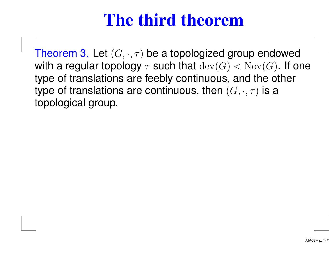#### **The third theorem**

Theorem 3. Let  $(G,\cdot,\tau)$  be a topologized group endowed with a regular topology  $\tau$  such that  $\text{dev}(G) < \text{Nov}(G)$ . If one type of translations are feebly continuous, and the other type of translations are continuous, then  $(G, \cdot, \tau)$  is a topological group.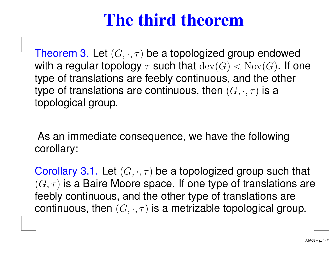#### **The third theorem**

Theorem 3. Let  $(G,\cdot,\tau)$  be a topologized group endowed with a regular topology  $\tau$  such that  $\text{dev}(G) < \text{Nov}(G)$ . If one type of translations are feebly continuous, and the other type of translations are continuous, then  $(G, \cdot, \tau)$  is a topological group.

As an immediate consequence, we have the following corollary:

Corollary 3.1. Let  $(G, \cdot, \tau)$  be a topologized group such that  $(G, \tau)$  is a Baire Moore space. If one type of translations are feebly continuous, and the other type of translations are continuous, then  $(G, \cdot, \tau)$  is a metrizable topological group.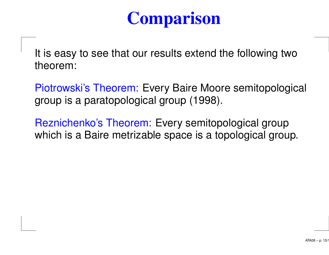# **Comparison**

It is easy to see that our results extend the following two theorem:

Piotrowski's Theorem: Every Baire Moore semitopological group is <sup>a</sup> paratopological group (1998).

Reznichenko's Theorem: Every semitopological group which is <sup>a</sup> Baire metrizable space is <sup>a</sup> topological group.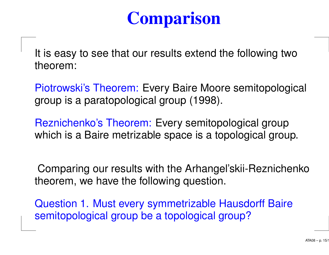# **Comparison**

It is easy to see that our results extend the following two theorem:

Piotrowski's Theorem: Every Baire Moore semitopological group is <sup>a</sup> paratopological group (1998).

Reznichenko's Theorem: Every semitopological group which is <sup>a</sup> Baire metrizable space is <sup>a</sup> topological group.

Comparing our results with the Arhangel'skii-Reznichenko theorem, we have the following question.

Question 1. Must every symmetrizable Hausdorff Baire semitopological group be <sup>a</sup> topological group?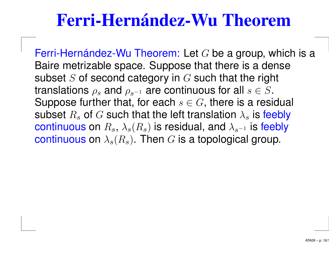#### **Ferri-Hernández-Wu Theorem**

Ferri-Hernández-Wu Theorem: Let  $G$  be a group, which is a Baire metrizable space. Suppose that there is <sup>a</sup> dense subset  $S$  of second category in  $G$  such that the right translations  $\rho_s$  and  $\rho_{s^{-1}}$  are continuous for all  $s \in S$ . Suppose further that, for each  $s \in G$ , there is a residual subset  $R_s$  of  $G$  such that the left translation  $\lambda_s$  is feebly continuous on  $R_s$ ,  $\lambda_s(R_s)$  is residual, and  $\lambda_{s^{-1}}$  is feebly continuous on  $\lambda_s(R_s)$ . Then G is a topological group.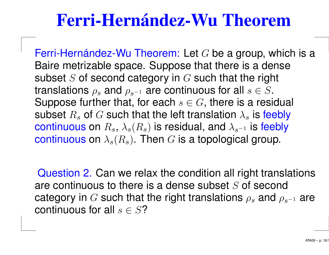#### **Ferri-Hernández-Wu Theorem**

Ferri-Hernández-Wu Theorem: Let  $G$  be a group, which is a Baire metrizable space. Suppose that there is <sup>a</sup> dense subset  $S$  of second category in  $G$  such that the right translations  $\rho_s$  and  $\rho_{s^{-1}}$  are continuous for all  $s \in S$ . Suppose further that, for each  $s \in G$ , there is a residual subset  $R_s$  of  $G$  such that the left translation  $\lambda_s$  is feebly continuous on  $R_s$ ,  $\lambda_s(R_s)$  is residual, and  $\lambda_{s^{-1}}$  is feebly continuous on  $\lambda_s(R_s)$ . Then G is a topological group.

Question 2. Can we relax the condition all right translations are continuous to there is a dense subset  $S$  of second category in G such that the right translations  $\rho_s$  and  $\rho_{s^{-1}}$  are continuous for all  $s \in S$ ?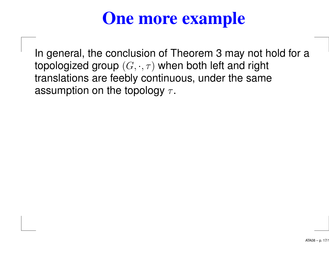# **One more example**

In general, the conclusion of Theorem 3 may not hold for <sup>a</sup> topologized group  $(G, \cdot, \tau)$  when both left and right translations are feebly continuous, under the same assumption on the topology  $\tau$ .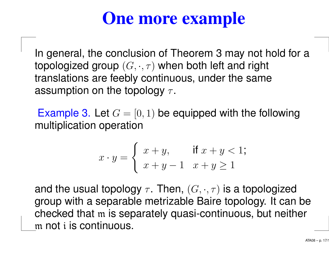# **One more example**

In general, the conclusion of Theorem 3 may not hold for <sup>a</sup> topologized group  $(G, \cdot, \tau)$  when both left and right translations are feebly continuous, under the same assumption on the topology  $\tau$ .

Example 3. Let  $G = [0, 1)$  be equipped with the following multiplication operation

$$
x \cdot y = \begin{cases} x+y, & \text{if } x+y < 1; \\ x+y-1 & x+y \ge 1 \end{cases}
$$

and the usual topology  $\tau$ . Then,  $(G, \cdot, \tau)$  is a topologized group with <sup>a</sup> separable metrizable Baire topology. It can be checked that <sup>m</sup> is separately quasi-continuous, but neither m not i is continuous.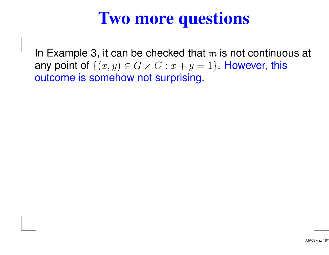# **Two more questions**

In Example 3, it can be checked that <sup>m</sup> is not continuous at any point of  $\{(x, y) \in G \times G : x + y = 1\}$ . However, this outcome is somehow not surprising.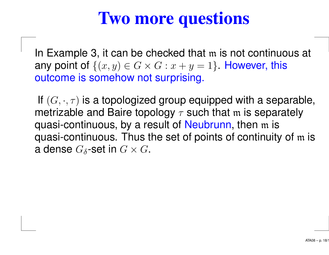# **Two more questions**

In Example 3, it can be checked that <sup>m</sup> is not continuous at any point of  $\{(x, y) \in G \times G : x + y = 1\}$ . However, this outcome is somehow not surprising.

If  $(G,\cdot,\tau)$  is a topologized group equipped with a separable, metrizable and Baire topology  $\tau$  such that m is separately quasi-continuous, by <sup>a</sup> result of Neubrunn, then <sup>m</sup> is quasi-continuous. Thus the set of points of continuity of <sup>m</sup> is a dense  $G_{\delta}$ -set in  $G \times G$ .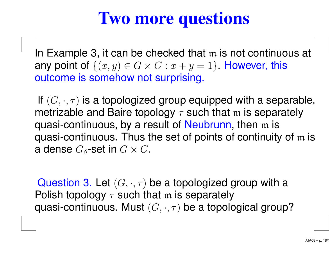# **Two more questions**

In Example 3, it can be checked that <sup>m</sup> is not continuous at any point of  $\{(x, y) \in G \times G : x + y = 1\}$ . However, this outcome is somehow not surprising.

If  $(G,\cdot,\tau)$  is a topologized group equipped with a separable, metrizable and Baire topology  $\tau$  such that m is separately quasi-continuous, by <sup>a</sup> result of Neubrunn, then <sup>m</sup> is quasi-continuous. Thus the set of points of continuity of <sup>m</sup> is a dense  $G_{\delta}$ -set in  $G \times G$ .

Question 3. Let  $(G, \cdot, \tau)$  be a topologized group with a Polish topology  $\tau$  such that m is separately quasi-continuous. Must  $(G, \cdot, \tau)$  be a topological group?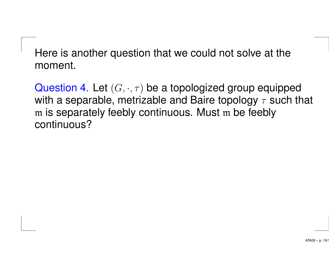Here is another question that we could not solve at the moment.

Question 4. Let  $(G, \cdot, \tau)$  be a topologized group equipped with a separable, metrizable and Baire topology  $\tau$  such that m is separately feebly continuous. Must <sup>m</sup> be feebly continuous?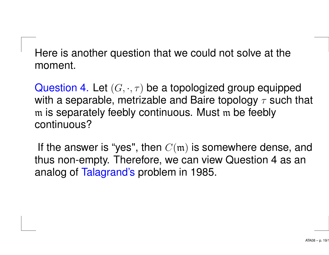Here is another question that we could not solve at the moment.

Question 4. Let  $(G, \cdot, \tau)$  be a topologized group equipped with a separable, metrizable and Baire topology  $\tau$  such that m is separately feebly continuous. Must <sup>m</sup> be feebly continuous?

If the answer is "yes", then  $C(\mathfrak{m})$  is somewhere dense, and thus non-empty. Therefore, we can view Question 4 as an analog of Talagrand's problem in 1985.